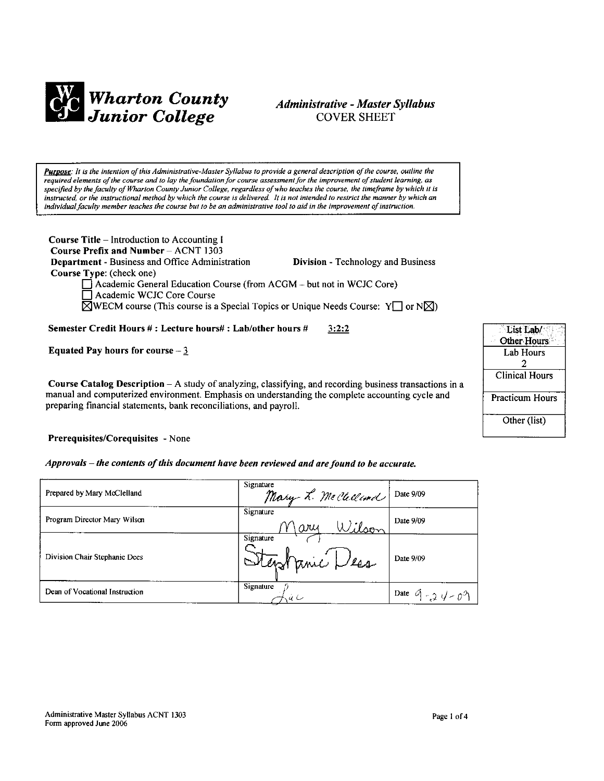

# **Administrative - Master Syllabus COVER SHEET**

Purpose: It is the intention of this Administrative-Master Syllabus to provide a general description of the course, outline the required elements of the course and to lay the foundation for course assessment for the improvement of student learning, as specified by the faculty of Wharton County Junior College, regardless of who teaches the course, the timeframe by which it is instructed, or the instructional method by which the course is delivered. It is not intended to restrict the manner by which an individual faculty member teaches the course but to be an administrative tool to aid in the improvement of instruction.

Course Title - Introduction to Accounting I Course Prefix and Number - ACNT 1303 **Department - Business and Office Administration Division - Technology and Business** Course Type: (check one) Academic General Education Course (from ACGM - but not in WCJC Core) Academic WCJC Core Course  $\boxtimes$ WECM course (This course is a Special Topics or Unique Needs Course: Y or N $\boxtimes$ )

Semester Credit Hours #: Lecture hours#: Lab/other hours #  $3:2:2$ 

**Equated Pay hours for course**  $-\frac{3}{5}$ 

Course Catalog Description  $-A$  study of analyzing, classifying, and recording business transactions in a manual and computerized environment. Emphasis on understanding the complete accounting cycle and preparing financial statements, bank reconciliations, and payroll.

Prerequisites/Corequisites - None

Approvals – the contents of this document have been reviewed and are found to be accurate.

| Prepared by Mary McClelland    | Signature<br>Mary L. Me Cleck and Date 9/09 |                    |
|--------------------------------|---------------------------------------------|--------------------|
| Program Director Mary Wilson   | Signature<br>Wilson<br>$N$ \ary             | Date 9/09          |
| Division Chair Stephanie Dees  | Signature<br>Stephanic Dess                 | Date 9/09          |
| Dean of Vocational Instruction | Signature                                   | Date $9 - 24 - 09$ |

| List Lab/              |
|------------------------|
| Other Hours            |
| <b>Lab Hours</b>       |
| 2                      |
| <b>Clinical Hours</b>  |
| <b>Practicum Hours</b> |
| Other (list)           |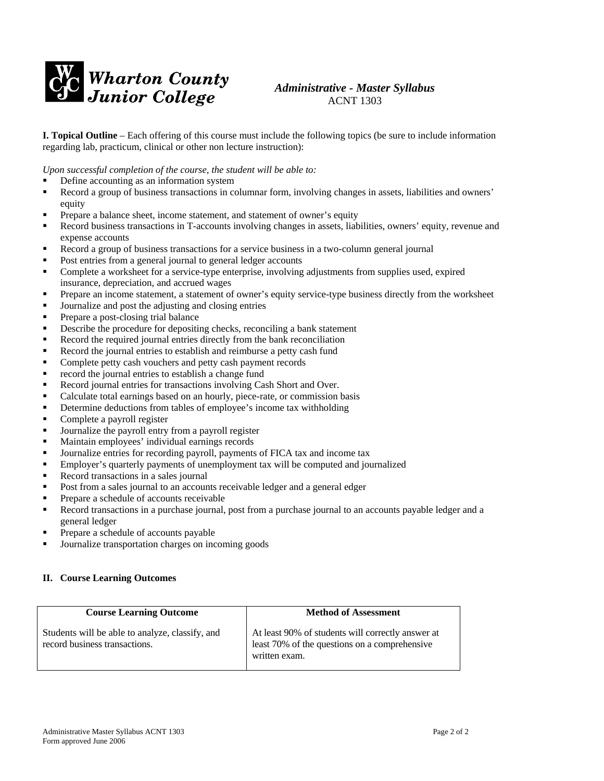

# *Administrative - Master Syllabus*  ACNT 1303

**I. Topical Outline** – Each offering of this course must include the following topics (be sure to include information regarding lab, practicum, clinical or other non lecture instruction):

*Upon successful completion of the course, the student will be able to:* 

- Define accounting as an information system
- Record a group of business transactions in columnar form, involving changes in assets, liabilities and owners' equity
- **Prepare a balance sheet, income statement, and statement of owner's equity**
- Record business transactions in T-accounts involving changes in assets, liabilities, owners' equity, revenue and expense accounts
- Record a group of business transactions for a service business in a two-column general journal
- Post entries from a general journal to general ledger accounts
- Complete a worksheet for a service-type enterprise, involving adjustments from supplies used, expired insurance, depreciation, and accrued wages
- **Prepare an income statement, a statement of owner's equity service-type business directly from the worksheet**
- Journalize and post the adjusting and closing entries
- **Prepare a post-closing trial balance**
- Describe the procedure for depositing checks, reconciling a bank statement
- Record the required journal entries directly from the bank reconciliation
- Record the journal entries to establish and reimburse a petty cash fund
- Complete petty cash vouchers and petty cash payment records
- record the journal entries to establish a change fund
- Record journal entries for transactions involving Cash Short and Over.
- Calculate total earnings based on an hourly, piece-rate, or commission basis
- Determine deductions from tables of employee's income tax withholding
- Complete a payroll register
- Journalize the payroll entry from a payroll register
- Maintain employees' individual earnings records
- Journalize entries for recording payroll, payments of FICA tax and income tax
- Employer's quarterly payments of unemployment tax will be computed and journalized
- Record transactions in a sales journal
- **Post from a sales journal to an accounts receivable ledger and a general edger**
- **Prepare a schedule of accounts receivable**
- Record transactions in a purchase journal, post from a purchase journal to an accounts payable ledger and a general ledger
- **Prepare a schedule of accounts payable**
- Journalize transportation charges on incoming goods

## **II. Course Learning Outcomes**

| <b>Course Learning Outcome</b>                                                   | <b>Method of Assessment</b>                                                                                         |
|----------------------------------------------------------------------------------|---------------------------------------------------------------------------------------------------------------------|
| Students will be able to analyze, classify, and<br>record business transactions. | At least 90% of students will correctly answer at<br>least 70% of the questions on a comprehensive<br>written exam. |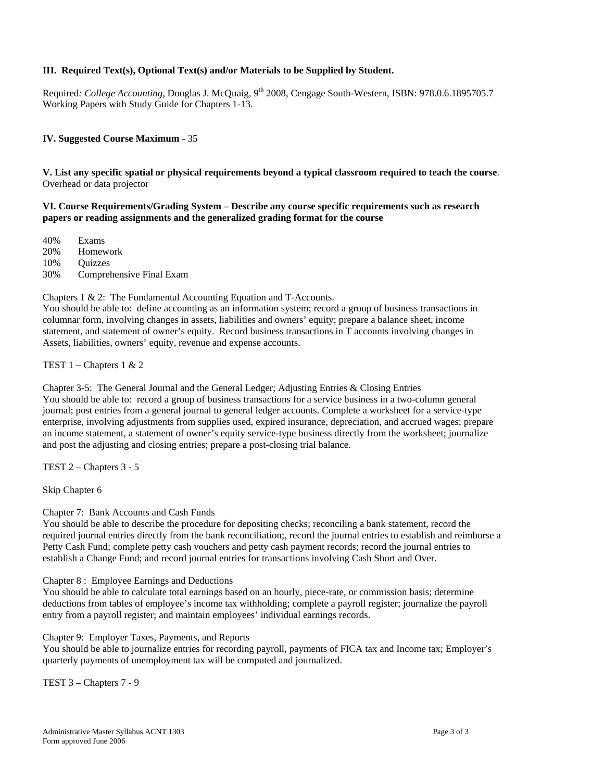# **III. Required Text(s), Optional Text(s) and/or Materials to be Supplied by Student.**

Required: College Accounting, [Douglas J. McQuaig](http://www.college.hmco.com/CollegeCatalog/CatalogController?cmd=AuthorBio&subcmd=Bio&AuthorId=00060), 9<sup>th</sup> 2008, Cengage South-Western, ISBN: 978.0.6.1895705.7 Working Papers with Study Guide for Chapters 1-13.

## **IV. Suggested Course Maximum** - 35

**V. List any specific spatial or physical requirements beyond a typical classroom required to teach the course**. Overhead or data projector

**VI. Course Requirements/Grading System – Describe any course specific requirements such as research papers or reading assignments and the generalized grading format for the course**

40% Exams 20% Homework 10% Quizzes 30% Comprehensive Final Exam

Chapters 1 & 2: The Fundamental Accounting Equation and T-Accounts.

You should be able to: define accounting as an information system; record a group of business transactions in columnar form, involving changes in assets, liabilities and owners' equity; prepare a balance sheet, income statement, and statement of owner's equity. Record business transactions in T accounts involving changes in Assets, liabilities, owners' equity, revenue and expense accounts.

TEST  $1$  – Chapters  $1 & 2$ 

Chapter 3-5: The General Journal and the General Ledger; Adjusting Entries & Closing Entries You should be able to: record a group of business transactions for a service business in a two-column general journal; post entries from a general journal to general ledger accounts. Complete a worksheet for a service-type enterprise, involving adjustments from supplies used, expired insurance, depreciation, and accrued wages; prepare an income statement, a statement of owner's equity service-type business directly from the worksheet; journalize and post the adjusting and closing entries; prepare a post-closing trial balance.

TEST 2 – Chapters 3 - 5

Skip Chapter 6

Chapter 7: Bank Accounts and Cash Funds

You should be able to describe the procedure for depositing checks; reconciling a bank statement, record the required journal entries directly from the bank reconciliation;, record the journal entries to establish and reimburse a Petty Cash Fund; complete petty cash vouchers and petty cash payment records; record the journal entries to establish a Change Fund; and record journal entries for transactions involving Cash Short and Over.

Chapter 8 : Employee Earnings and Deductions

You should be able to calculate total earnings based on an hourly, piece-rate, or commission basis; determine deductions from tables of employee's income tax withholding; complete a payroll register; journalize the payroll entry from a payroll register; and maintain employees' individual earnings records.

Chapter 9: Employer Taxes, Payments, and Reports

You should be able to journalize entries for recording payroll, payments of FICA tax and Income tax; Employer's quarterly payments of unemployment tax will be computed and journalized.

TEST 3 – Chapters 7 - 9